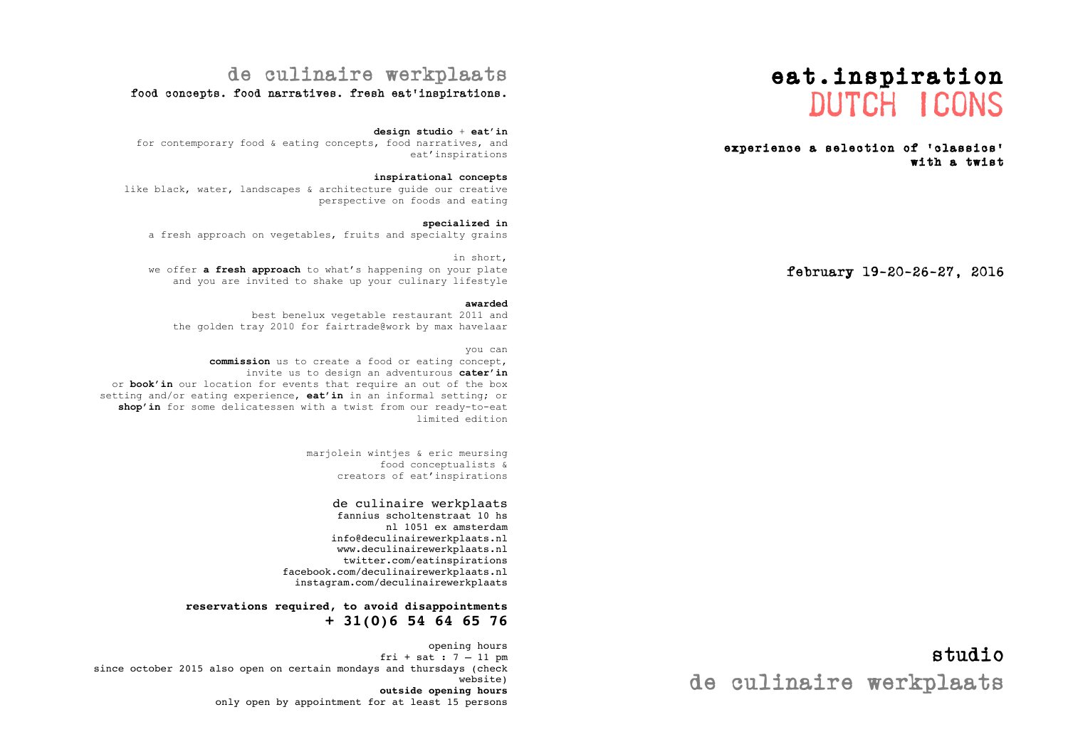# eat.inspiration dutch icons

#### experience a selection of 'classics' with a twist

february 19-20-26-27, 2016

### studio de culinaire werkplaats

### de culinaire werkplaats

#### food concepts. food narratives. fresh eat'inspirations.

#### **design studio** + **eat'in**

for contemporary food & eating concepts, food narratives, and eat'inspirations

#### **inspirational concepts**

like black, water, landscapes & architecture guide our creative perspective on foods and eating

#### **specialized in**

a fresh approach on vegetables, fruits and specialty grains

#### in short, we offer **a fresh approach** to what's happening on your plate and you are invited to shake up your culinary lifestyle

#### **awarded**

best benelux vegetable restaurant 2011 and the golden tray 2010 for fairtrade@work by max havelaar

#### you can

**commission** us to create a food or eating concept, invite us to design an adventurous **cater'in** or **book'in** our location for events that require an out of the box setting and/or eating experience, **eat'in** in an informal setting; or **shop'in** for some delicatessen with a twist from our ready-to-eat limited edition

> marjolein wintjes & eric meursing food conceptualists & creators of eat'inspirations

### de culinaire werkplaats

fannius scholtenstraat 10 hs nl 1051 ex amsterdam info@deculinairewerkplaats.nl www.deculinairewerkplaats.nl twitter.com/eatinspirations facebook.com/deculinairewerkplaats.nl instagram.com/deculinairewerkplaats

#### **reservations required, to avoid disappointments + 31(0)6 54 64 65 76**

opening hours fri + sat : 7 – 11 pm since october 2015 also open on certain mondays and thursdays (check website) **outside opening hours**  only open by appointment for at least 15 persons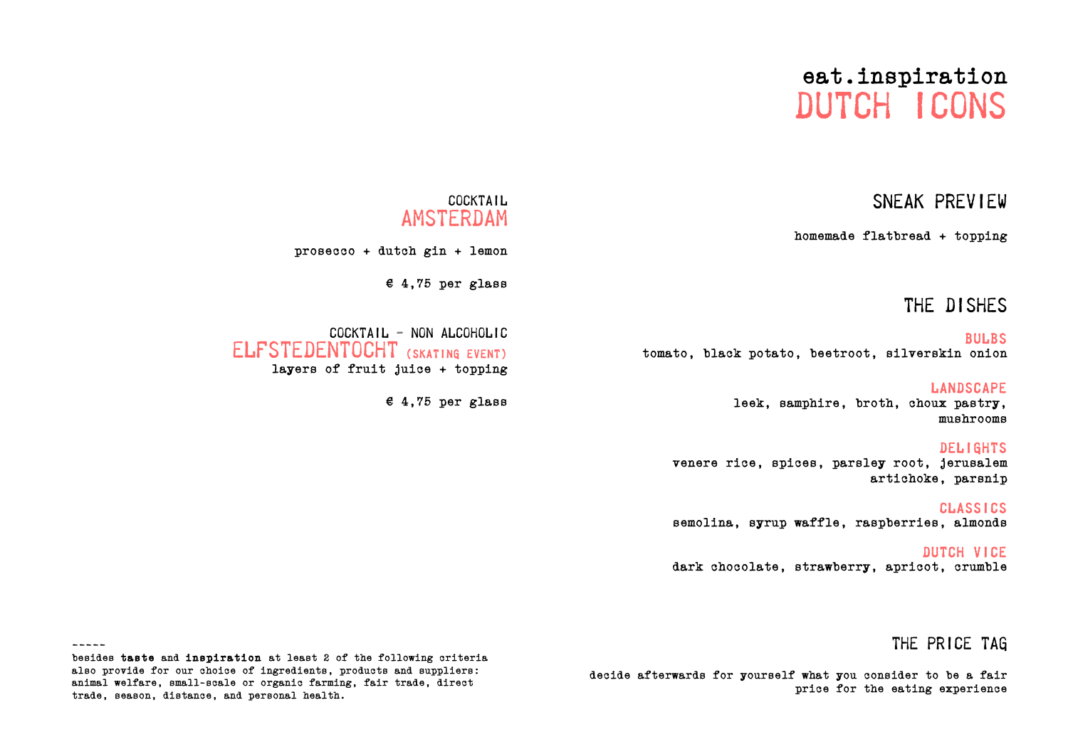# eat.inspiration dutch icons

### sneak preview

homemade flatbread + topping

### the dishes

**BULBS** tomato, black potato, beetroot, silverskin onion

LANDSCAPE<br>leek, samphire, broth, choux pastry, mushrooms

#### **DELIGHTS**

venere rice, spices, parsley root, jerusalem artichoke, parsnip

classics semolina, syrup waffle, raspberries, almonds

dutch vice dark chocolate, strawberry, apricot, crumble

### the price tag

decide afterwards for yourself what you consider to be a fair price for the eating experience

### **COCKTAIL** amsterdam

prosecco + dutch gin + lemon

 $£ 4,75$  per glass

 $COCKTAIL - NON ALCOHOLIC$ elfstedentocht (skating event) layers of fruit juice + topping

€ 4,75 per glass

-----

besides taste and inspiration at least 2 of the following criteria also provide for our choice of ingredients, products and suppliers: animal welfare, small-scale or organic farming, fair trade, direct trade, season, distance, and personal health.